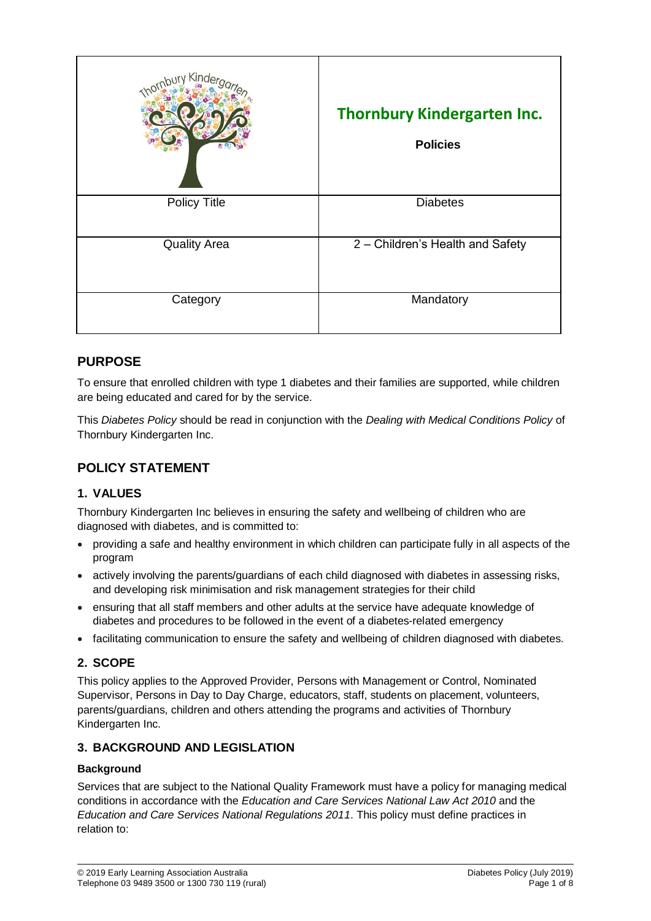| Kinde               | <b>Thornbury Kindergarten Inc.</b><br><b>Policies</b> |
|---------------------|-------------------------------------------------------|
| <b>Policy Title</b> | <b>Diabetes</b>                                       |
| <b>Quality Area</b> | 2 - Children's Health and Safety                      |
| Category            | Mandatory                                             |

## **PURPOSE**

To ensure that enrolled children with type 1 diabetes and their families are supported, while children are being educated and cared for by the service.

This *Diabetes Policy* should be read in conjunction with the *Dealing with Medical Conditions Policy* of Thornbury Kindergarten Inc.

## **POLICY STATEMENT**

### **1. VALUES**

Thornbury Kindergarten Inc believes in ensuring the safety and wellbeing of children who are diagnosed with diabetes, and is committed to:

- providing a safe and healthy environment in which children can participate fully in all aspects of the program
- actively involving the parents/guardians of each child diagnosed with diabetes in assessing risks, and developing risk minimisation and risk management strategies for their child
- ensuring that all staff members and other adults at the service have adequate knowledge of diabetes and procedures to be followed in the event of a diabetes-related emergency
- facilitating communication to ensure the safety and wellbeing of children diagnosed with diabetes.

### **2. SCOPE**

This policy applies to the Approved Provider, Persons with Management or Control, Nominated Supervisor, Persons in Day to Day Charge, educators, staff, students on placement, volunteers, parents/guardians, children and others attending the programs and activities of Thornbury Kindergarten Inc.

### **3. BACKGROUND AND LEGISLATION**

### **Background**

Services that are subject to the National Quality Framework must have a policy for managing medical conditions in accordance with the *Education and Care Services National Law Act 2010* and the *Education and Care Services National Regulations 2011*. This policy must define practices in relation to: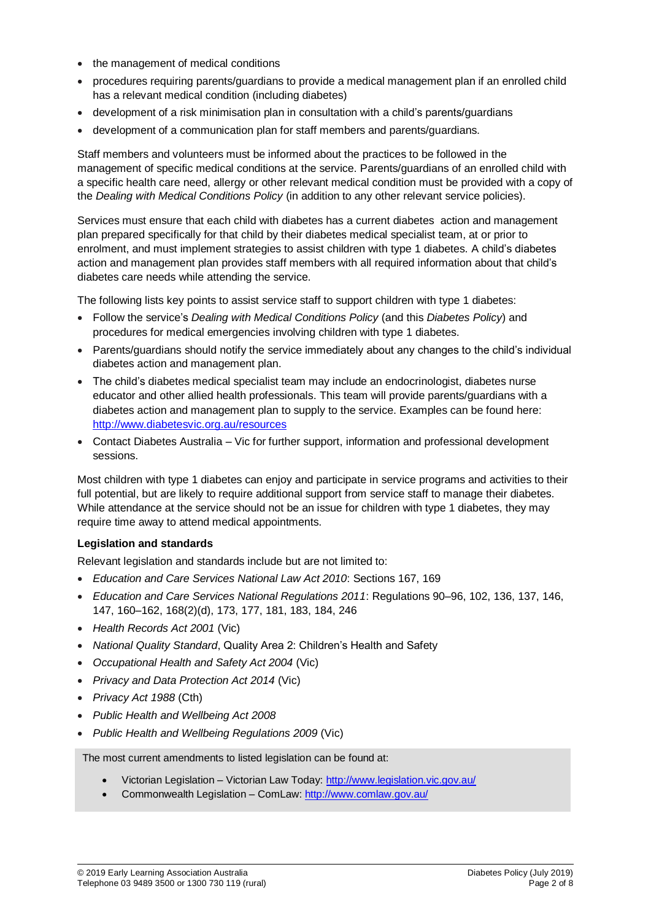- the management of medical conditions
- procedures requiring parents/guardians to provide a medical management plan if an enrolled child has a relevant medical condition (including diabetes)
- development of a risk minimisation plan in consultation with a child's parents/guardians
- development of a communication plan for staff members and parents/guardians.

Staff members and volunteers must be informed about the practices to be followed in the management of specific medical conditions at the service. Parents/guardians of an enrolled child with a specific health care need, allergy or other relevant medical condition must be provided with a copy of the *Dealing with Medical Conditions Policy* (in addition to any other relevant service policies).

Services must ensure that each child with diabetes has a current diabetes action and management plan prepared specifically for that child by their diabetes medical specialist team, at or prior to enrolment, and must implement strategies to assist children with type 1 diabetes. A child's diabetes action and management plan provides staff members with all required information about that child's diabetes care needs while attending the service.

The following lists key points to assist service staff to support children with type 1 diabetes:

- Follow the service's *Dealing with Medical Conditions Policy* (and this *Diabetes Policy*) and procedures for medical emergencies involving children with type 1 diabetes.
- Parents/guardians should notify the service immediately about any changes to the child's individual diabetes action and management plan.
- The child's diabetes medical specialist team may include an endocrinologist, diabetes nurse educator and other allied health professionals. This team will provide parents/guardians with a diabetes action and management plan to supply to the service. Examples can be found here: <http://www.diabetesvic.org.au/resources>
- Contact Diabetes Australia Vic for further support, information and professional development sessions.

Most children with type 1 diabetes can enjoy and participate in service programs and activities to their full potential, but are likely to require additional support from service staff to manage their diabetes. While attendance at the service should not be an issue for children with type 1 diabetes, they may require time away to attend medical appointments.

#### **Legislation and standards**

Relevant legislation and standards include but are not limited to:

- *Education and Care Services National Law Act 2010*: Sections 167, 169
- *Education and Care Services National Regulations 2011*: Regulations 90–96, 102, 136, 137, 146, 147, 160–162, 168(2)(d), 173, 177, 181, 183, 184, 246
- *Health Records Act 2001* (Vic)
- *National Quality Standard*, Quality Area 2: Children's Health and Safety
- *Occupational Health and Safety Act 2004* (Vic)
- *Privacy and Data Protection Act 2014* (Vic)
- *Privacy Act 1988* (Cth)
- *Public Health and Wellbeing Act 2008*
- *Public Health and Wellbeing Regulations 2009* (Vic)

The most current amendments to listed legislation can be found at:

- Victorian Legislation Victorian Law Today:<http://www.legislation.vic.gov.au/>
- Commonwealth Legislation ComLaw:<http://www.comlaw.gov.au/>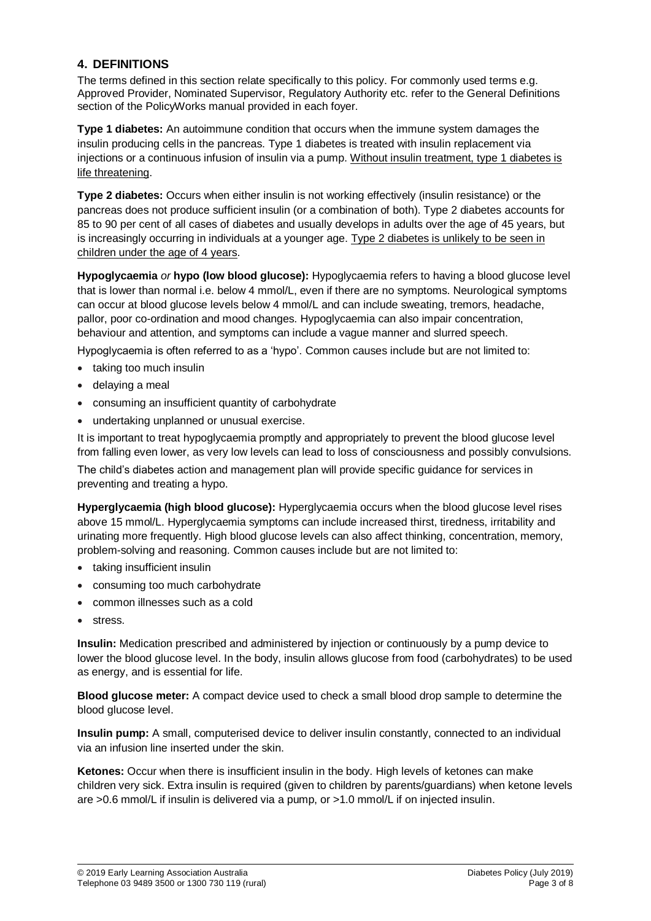### **4. DEFINITIONS**

The terms defined in this section relate specifically to this policy. For commonly used terms e.g. Approved Provider, Nominated Supervisor, Regulatory Authority etc. refer to the General Definitions section of the PolicyWorks manual provided in each foyer.

**Type 1 diabetes:** An autoimmune condition that occurs when the immune system damages the insulin producing cells in the pancreas. Type 1 diabetes is treated with insulin replacement via injections or a continuous infusion of insulin via a pump. Without insulin treatment, type 1 diabetes is life threatening.

**Type 2 diabetes:** Occurs when either insulin is not working effectively (insulin resistance) or the pancreas does not produce sufficient insulin (or a combination of both). Type 2 diabetes accounts for 85 to 90 per cent of all cases of diabetes and usually develops in adults over the age of 45 years, but is increasingly occurring in individuals at a younger age. Type 2 diabetes is unlikely to be seen in children under the age of 4 years.

**Hypoglycaemia** *or* **hypo (low blood glucose):** Hypoglycaemia refers to having a blood glucose level that is lower than normal i.e. below 4 mmol/L, even if there are no symptoms. Neurological symptoms can occur at blood glucose levels below 4 mmol/L and can include sweating, tremors, headache, pallor, poor co-ordination and mood changes. Hypoglycaemia can also impair concentration, behaviour and attention, and symptoms can include a vague manner and slurred speech.

Hypoglycaemia is often referred to as a 'hypo'. Common causes include but are not limited to:

- taking too much insulin
- delaying a meal
- consuming an insufficient quantity of carbohydrate
- undertaking unplanned or unusual exercise.

It is important to treat hypoglycaemia promptly and appropriately to prevent the blood glucose level from falling even lower, as very low levels can lead to loss of consciousness and possibly convulsions.

The child's diabetes action and management plan will provide specific guidance for services in preventing and treating a hypo.

**Hyperglycaemia (high blood glucose):** Hyperglycaemia occurs when the blood glucose level rises above 15 mmol/L. Hyperglycaemia symptoms can include increased thirst, tiredness, irritability and urinating more frequently. High blood glucose levels can also affect thinking, concentration, memory, problem-solving and reasoning. Common causes include but are not limited to:

- taking insufficient insulin
- consuming too much carbohydrate
- common illnesses such as a cold
- stress.

**Insulin:** Medication prescribed and administered by injection or continuously by a pump device to lower the blood glucose level. In the body, insulin allows glucose from food (carbohydrates) to be used as energy, and is essential for life.

**Blood glucose meter:** A compact device used to check a small blood drop sample to determine the blood glucose level.

**Insulin pump:** A small, computerised device to deliver insulin constantly, connected to an individual via an infusion line inserted under the skin.

**Ketones:** Occur when there is insufficient insulin in the body. High levels of ketones can make children very sick. Extra insulin is required (given to children by parents/guardians) when ketone levels are >0.6 mmol/L if insulin is delivered via a pump, or >1.0 mmol/L if on injected insulin.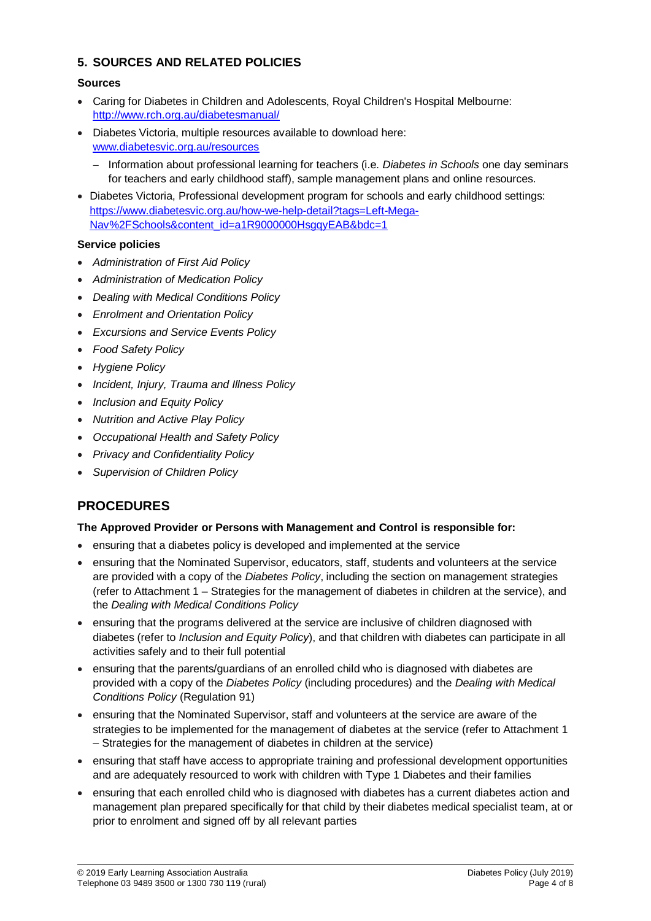### **5. SOURCES AND RELATED POLICIES**

#### **Sources**

- Caring for Diabetes in Children and [Adolescents, Royal Children's Hospital](http://www.rch.org.au/diabetesmanual/index.cfm?doc_id=2352) Melbourne: <http://www.rch.org.au/diabetesmanual/>
- Diabetes Victoria, multiple resources available to download here: [www.diabetesvic.org.au/resources](http://www.diabetesvic.org.au/resources)
	- Information about professional learning for teachers (i.e. *Diabetes in Schools* one day seminars for teachers and early childhood staff), sample management plans and online resources.
- Diabetes Victoria, Professional development program for schools and early childhood settings: [https://www.diabetesvic.org.au/how-we-help-detail?tags=Left-Mega-](https://www.diabetesvic.org.au/how-we-help-detail?tags=Left-Mega-Nav%2FSchools&content_id=a1R9000000HsgqyEAB&bdc=1)[Nav%2FSchools&content\\_id=a1R9000000HsgqyEAB&bdc=1](https://www.diabetesvic.org.au/how-we-help-detail?tags=Left-Mega-Nav%2FSchools&content_id=a1R9000000HsgqyEAB&bdc=1)

#### **Service policies**

- *Administration of First Aid Policy*
- *Administration of Medication Policy*
- *Dealing with Medical Conditions Policy*
- *Enrolment and Orientation Policy*
- *Excursions and Service Events Policy*
- *Food Safety Policy*
- *Hygiene Policy*
- *Incident, Injury, Trauma and Illness Policy*
- *Inclusion and Equity Policy*
- *Nutrition and Active Play Policy*
- *Occupational Health and Safety Policy*
- *Privacy and Confidentiality Policy*
- *Supervision of Children Policy*

## **PROCEDURES**

#### **The Approved Provider or Persons with Management and Control is responsible for:**

- ensuring that a diabetes policy is developed and implemented at the service
- ensuring that the Nominated Supervisor, educators, staff, students and volunteers at the service are provided with a copy of the *Diabetes Policy*, including the section on management strategies (refer to Attachment 1 – Strategies for the management of diabetes in children at the service), and the *Dealing with Medical Conditions Policy*
- ensuring that the programs delivered at the service are inclusive of children diagnosed with diabetes (refer to *Inclusion and Equity Policy*), and that children with diabetes can participate in all activities safely and to their full potential
- ensuring that the parents/guardians of an enrolled child who is diagnosed with diabetes are provided with a copy of the *Diabetes Policy* (including procedures) and the *Dealing with Medical Conditions Policy* (Regulation 91)
- ensuring that the Nominated Supervisor, staff and volunteers at the service are aware of the strategies to be implemented for the management of diabetes at the service (refer to Attachment 1 – Strategies for the management of diabetes in children at the service)
- ensuring that staff have access to appropriate training and professional development opportunities and are adequately resourced to work with children with Type 1 Diabetes and their families
- ensuring that each enrolled child who is diagnosed with diabetes has a current diabetes action and management plan prepared specifically for that child by their diabetes medical specialist team, at or prior to enrolment and signed off by all relevant parties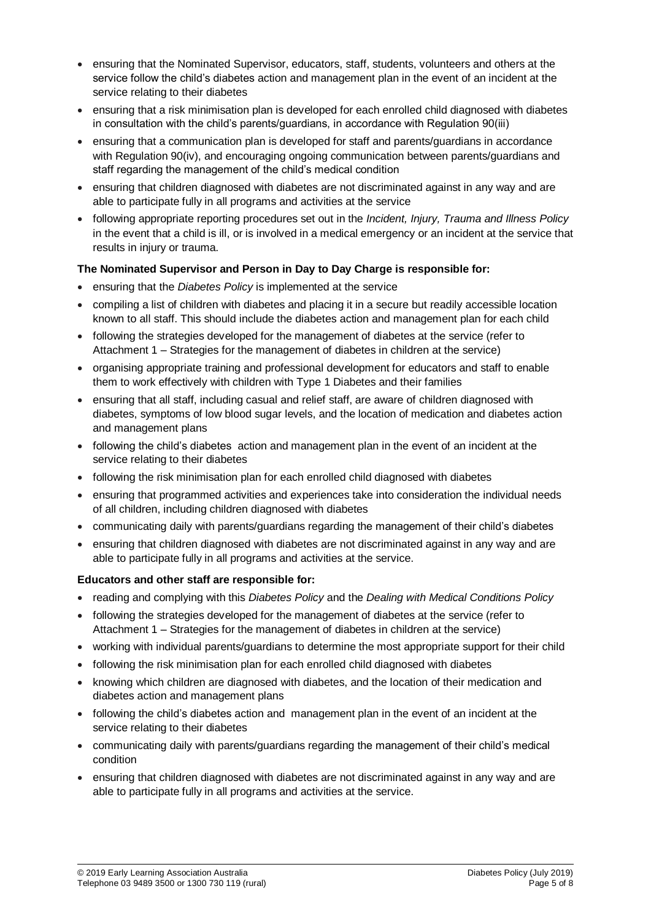- ensuring that the Nominated Supervisor, educators, staff, students, volunteers and others at the service follow the child's diabetes action and management plan in the event of an incident at the service relating to their diabetes
- ensuring that a risk minimisation plan is developed for each enrolled child diagnosed with diabetes in consultation with the child's parents/guardians, in accordance with Regulation 90(iii)
- ensuring that a communication plan is developed for staff and parents/guardians in accordance with Regulation 90(iv), and encouraging ongoing communication between parents/guardians and staff regarding the management of the child's medical condition
- ensuring that children diagnosed with diabetes are not discriminated against in any way and are able to participate fully in all programs and activities at the service
- following appropriate reporting procedures set out in the *Incident, Injury, Trauma and Illness Policy* in the event that a child is ill, or is involved in a medical emergency or an incident at the service that results in injury or trauma.

#### **The Nominated Supervisor and Person in Day to Day Charge is responsible for:**

- ensuring that the *Diabetes Policy* is implemented at the service
- compiling a list of children with diabetes and placing it in a secure but readily accessible location known to all staff. This should include the diabetes action and management plan for each child
- following the strategies developed for the management of diabetes at the service (refer to Attachment 1 – Strategies for the management of diabetes in children at the service)
- organising appropriate training and professional development for educators and staff to enable them to work effectively with children with Type 1 Diabetes and their families
- ensuring that all staff, including casual and relief staff, are aware of children diagnosed with diabetes, symptoms of low blood sugar levels, and the location of medication and diabetes action and management plans
- following the child's diabetes action and management plan in the event of an incident at the service relating to their diabetes
- following the risk minimisation plan for each enrolled child diagnosed with diabetes
- ensuring that programmed activities and experiences take into consideration the individual needs of all children, including children diagnosed with diabetes
- communicating daily with parents/guardians regarding the management of their child's diabetes
- ensuring that children diagnosed with diabetes are not discriminated against in any way and are able to participate fully in all programs and activities at the service.

### **Educators and other staff are responsible for:**

- reading and complying with this *Diabetes Policy* and the *Dealing with Medical Conditions Policy*
- following the strategies developed for the management of diabetes at the service (refer to Attachment 1 – Strategies for the management of diabetes in children at the service)
- working with individual parents/guardians to determine the most appropriate support for their child
- following the risk minimisation plan for each enrolled child diagnosed with diabetes
- knowing which children are diagnosed with diabetes, and the location of their medication and diabetes action and management plans
- following the child's diabetes action and management plan in the event of an incident at the service relating to their diabetes
- communicating daily with parents/guardians regarding the management of their child's medical condition
- ensuring that children diagnosed with diabetes are not discriminated against in any way and are able to participate fully in all programs and activities at the service.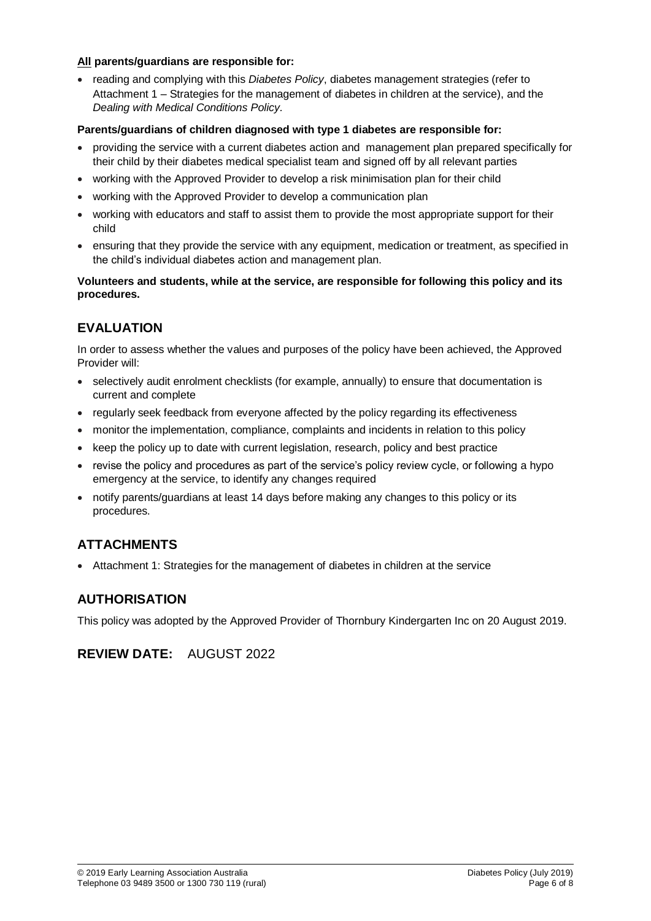#### **All parents/guardians are responsible for:**

• reading and complying with this *Diabetes Policy*, diabetes management strategies (refer to Attachment 1 – Strategies for the management of diabetes in children at the service), and the *Dealing with Medical Conditions Policy.*

#### **Parents/guardians of children diagnosed with type 1 diabetes are responsible for:**

- providing the service with a current diabetes action and management plan prepared specifically for their child by their diabetes medical specialist team and signed off by all relevant parties
- working with the Approved Provider to develop a risk minimisation plan for their child
- working with the Approved Provider to develop a communication plan
- working with educators and staff to assist them to provide the most appropriate support for their child
- ensuring that they provide the service with any equipment, medication or treatment, as specified in the child's individual diabetes action and management plan.

#### **Volunteers and students, while at the service, are responsible for following this policy and its procedures.**

## **EVALUATION**

In order to assess whether the values and purposes of the policy have been achieved, the Approved Provider will:

- selectively audit enrolment checklists (for example, annually) to ensure that documentation is current and complete
- regularly seek feedback from everyone affected by the policy regarding its effectiveness
- monitor the implementation, compliance, complaints and incidents in relation to this policy
- keep the policy up to date with current legislation, research, policy and best practice
- revise the policy and procedures as part of the service's policy review cycle, or following a hypo emergency at the service, to identify any changes required
- notify parents/guardians at least 14 days before making any changes to this policy or its procedures.

## **ATTACHMENTS**

Attachment 1: Strategies for the management of diabetes in children at the service

### **AUTHORISATION**

This policy was adopted by the Approved Provider of Thornbury Kindergarten Inc on 20 August 2019.

### **REVIEW DATE:** AUGUST 2022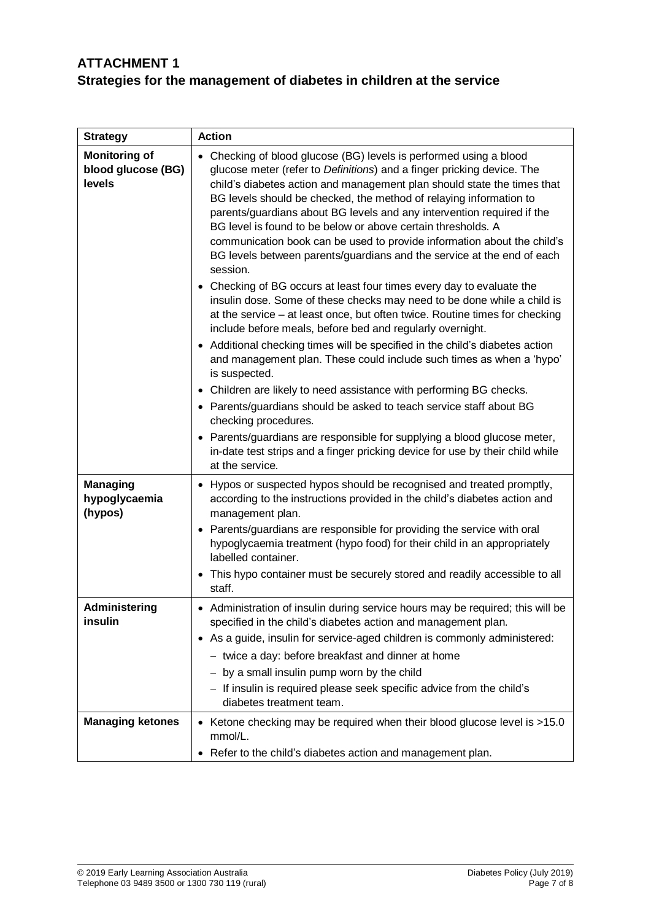# **ATTACHMENT 1 Strategies for the management of diabetes in children at the service**

| <b>Strategy</b>                                      | <b>Action</b>                                                                                                                                                                                                                                                                                                                                                                                                                                                                                                                                                                                                                                                                                                                                                                                                                                                                                                                                                                                                                                                                                                                                                                                                                                                                                                                                                                                                                           |
|------------------------------------------------------|-----------------------------------------------------------------------------------------------------------------------------------------------------------------------------------------------------------------------------------------------------------------------------------------------------------------------------------------------------------------------------------------------------------------------------------------------------------------------------------------------------------------------------------------------------------------------------------------------------------------------------------------------------------------------------------------------------------------------------------------------------------------------------------------------------------------------------------------------------------------------------------------------------------------------------------------------------------------------------------------------------------------------------------------------------------------------------------------------------------------------------------------------------------------------------------------------------------------------------------------------------------------------------------------------------------------------------------------------------------------------------------------------------------------------------------------|
| <b>Monitoring of</b><br>blood glucose (BG)<br>levels | • Checking of blood glucose (BG) levels is performed using a blood<br>glucose meter (refer to Definitions) and a finger pricking device. The<br>child's diabetes action and management plan should state the times that<br>BG levels should be checked, the method of relaying information to<br>parents/guardians about BG levels and any intervention required if the<br>BG level is found to be below or above certain thresholds. A<br>communication book can be used to provide information about the child's<br>BG levels between parents/guardians and the service at the end of each<br>session.<br>• Checking of BG occurs at least four times every day to evaluate the<br>insulin dose. Some of these checks may need to be done while a child is<br>at the service - at least once, but often twice. Routine times for checking<br>include before meals, before bed and regularly overnight.<br>• Additional checking times will be specified in the child's diabetes action<br>and management plan. These could include such times as when a 'hypo'<br>is suspected.<br>• Children are likely to need assistance with performing BG checks.<br>• Parents/guardians should be asked to teach service staff about BG<br>checking procedures.<br>• Parents/guardians are responsible for supplying a blood glucose meter,<br>in-date test strips and a finger pricking device for use by their child while<br>at the service. |
| <b>Managing</b><br>hypoglycaemia<br>(hypos)          | • Hypos or suspected hypos should be recognised and treated promptly,<br>according to the instructions provided in the child's diabetes action and<br>management plan.<br>Parents/guardians are responsible for providing the service with oral<br>$\bullet$<br>hypoglycaemia treatment (hypo food) for their child in an appropriately<br>labelled container.<br>This hypo container must be securely stored and readily accessible to all<br>$\bullet$<br>staff.                                                                                                                                                                                                                                                                                                                                                                                                                                                                                                                                                                                                                                                                                                                                                                                                                                                                                                                                                                      |
| Administering                                        | • Administration of insulin during service hours may be required; this will be                                                                                                                                                                                                                                                                                                                                                                                                                                                                                                                                                                                                                                                                                                                                                                                                                                                                                                                                                                                                                                                                                                                                                                                                                                                                                                                                                          |
| insulin                                              | specified in the child's diabetes action and management plan.                                                                                                                                                                                                                                                                                                                                                                                                                                                                                                                                                                                                                                                                                                                                                                                                                                                                                                                                                                                                                                                                                                                                                                                                                                                                                                                                                                           |
|                                                      | • As a guide, insulin for service-aged children is commonly administered:                                                                                                                                                                                                                                                                                                                                                                                                                                                                                                                                                                                                                                                                                                                                                                                                                                                                                                                                                                                                                                                                                                                                                                                                                                                                                                                                                               |
|                                                      | - twice a day: before breakfast and dinner at home                                                                                                                                                                                                                                                                                                                                                                                                                                                                                                                                                                                                                                                                                                                                                                                                                                                                                                                                                                                                                                                                                                                                                                                                                                                                                                                                                                                      |
|                                                      | - by a small insulin pump worn by the child                                                                                                                                                                                                                                                                                                                                                                                                                                                                                                                                                                                                                                                                                                                                                                                                                                                                                                                                                                                                                                                                                                                                                                                                                                                                                                                                                                                             |
|                                                      | - If insulin is required please seek specific advice from the child's<br>diabetes treatment team.                                                                                                                                                                                                                                                                                                                                                                                                                                                                                                                                                                                                                                                                                                                                                                                                                                                                                                                                                                                                                                                                                                                                                                                                                                                                                                                                       |
| <b>Managing ketones</b>                              | Ketone checking may be required when their blood glucose level is >15.0<br>$\bullet$<br>mmol/L.                                                                                                                                                                                                                                                                                                                                                                                                                                                                                                                                                                                                                                                                                                                                                                                                                                                                                                                                                                                                                                                                                                                                                                                                                                                                                                                                         |
|                                                      | • Refer to the child's diabetes action and management plan.                                                                                                                                                                                                                                                                                                                                                                                                                                                                                                                                                                                                                                                                                                                                                                                                                                                                                                                                                                                                                                                                                                                                                                                                                                                                                                                                                                             |